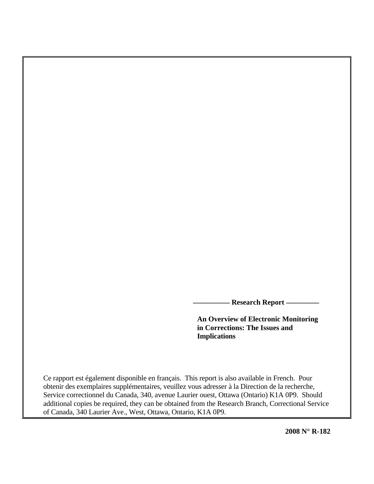**\_\_\_\_\_\_\_\_\_\_ Research Report \_\_\_\_\_\_\_\_\_** 

 **An Overview of Electronic Monitoring in Corrections: The Issues and Implications** 

Ce rapport est également disponible en français. This report is also available in French. Pour obtenir des exemplaires supplémentaires, veuillez vous adresser à la Direction de la recherche, Service correctionnel du Canada, 340, avenue Laurier ouest, Ottawa (Ontario) K1A 0P9. Should additional copies be required, they can be obtained from the Research Branch, Correctional Service of Canada, 340 Laurier Ave., West, Ottawa, Ontario, K1A 0P9.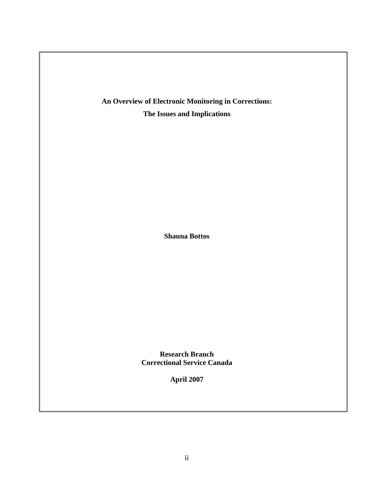

**Shauna Bottos** 

**Research Branch Correctional Service Canada** 

**April 2007**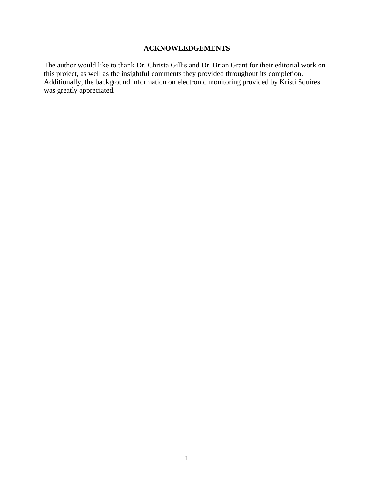# **ACKNOWLEDGEMENTS**

<span id="page-2-0"></span>The author would like to thank Dr. Christa Gillis and Dr. Brian Grant for their editorial work on this project, as well as the insightful comments they provided throughout its completion. Additionally, the background information on electronic monitoring provided by Kristi Squires was greatly appreciated.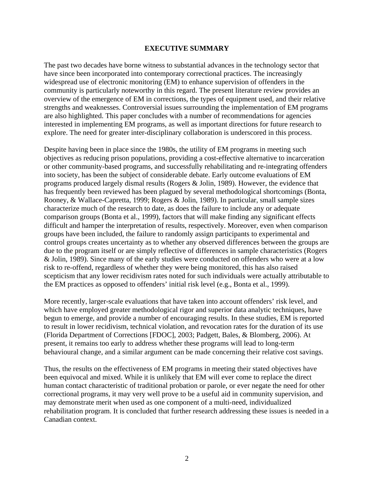## **EXECUTIVE SUMMARY**

<span id="page-3-0"></span>The past two decades have borne witness to substantial advances in the technology sector that have since been incorporated into contemporary correctional practices. The increasingly widespread use of electronic monitoring (EM) to enhance supervision of offenders in the community is particularly noteworthy in this regard. The present literature review provides an overview of the emergence of EM in corrections, the types of equipment used, and their relative strengths and weaknesses. Controversial issues surrounding the implementation of EM programs are also highlighted. This paper concludes with a number of recommendations for agencies interested in implementing EM programs, as well as important directions for future research to explore. The need for greater inter-disciplinary collaboration is underscored in this process.

Despite having been in place since the 1980s, the utility of EM programs in meeting such objectives as reducing prison populations, providing a cost-effective alternative to incarceration or other community-based programs, and successfully rehabilitating and re-integrating offenders into society, has been the subject of considerable debate. Early outcome evaluations of EM programs produced largely dismal results (Rogers & Jolin, 1989). However, the evidence that has frequently been reviewed has been plagued by several methodological shortcomings (Bonta, Rooney, & Wallace-Capretta, 1999; Rogers & Jolin, 1989). In particular, small sample sizes characterize much of the research to date, as does the failure to include any or adequate comparison groups (Bonta et al., 1999), factors that will make finding any significant effects difficult and hamper the interpretation of results, respectively. Moreover, even when comparison groups have been included, the failure to randomly assign participants to experimental and control groups creates uncertainty as to whether any observed differences between the groups are due to the program itself or are simply reflective of differences in sample characteristics (Rogers & Jolin, 1989). Since many of the early studies were conducted on offenders who were at a low risk to re-offend, regardless of whether they were being monitored, this has also raised scepticism that any lower recidivism rates noted for such individuals were actually attributable to the EM practices as opposed to offenders' initial risk level (e.g., Bonta et al., 1999).

More recently, larger-scale evaluations that have taken into account offenders' risk level, and which have employed greater methodological rigor and superior data analytic techniques, have begun to emerge, and provide a number of encouraging results. In these studies, EM is reported to result in lower recidivism, technical violation, and revocation rates for the duration of its use (Florida Department of Corrections [FDOC], 2003; Padgett, Bales, & Blomberg, 2006). At present, it remains too early to address whether these programs will lead to long-term behavioural change, and a similar argument can be made concerning their relative cost savings.

Thus, the results on the effectiveness of EM programs in meeting their stated objectives have been equivocal and mixed. While it is unlikely that EM will ever come to replace the direct human contact characteristic of traditional probation or parole, or ever negate the need for other correctional programs, it may very well prove to be a useful aid in community supervision, and may demonstrate merit when used as one component of a multi-need, individualized rehabilitation program. It is concluded that further research addressing these issues is needed in a Canadian context.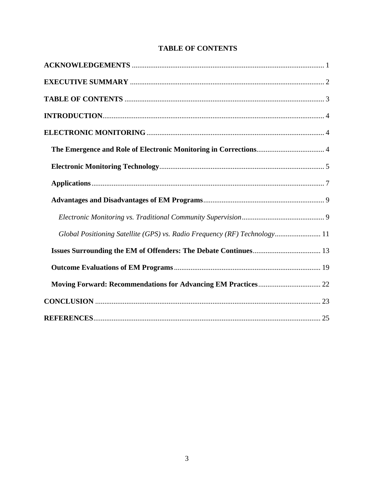<span id="page-4-0"></span>

| Global Positioning Satellite (GPS) vs. Radio Frequency (RF) Technology 11 |
|---------------------------------------------------------------------------|
|                                                                           |
|                                                                           |
|                                                                           |
|                                                                           |
|                                                                           |

# **TABLE OF CONTENTS**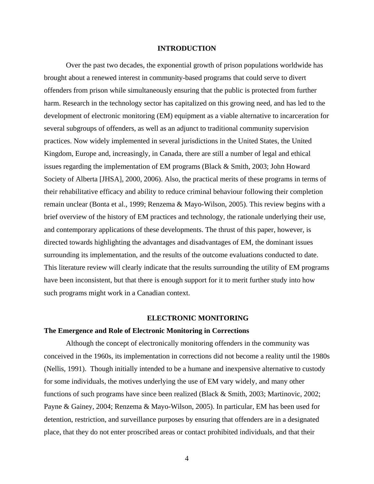## **INTRODUCTION**

<span id="page-5-0"></span>Over the past two decades, the exponential growth of prison populations worldwide has brought about a renewed interest in community-based programs that could serve to divert offenders from prison while simultaneously ensuring that the public is protected from further harm. Research in the technology sector has capitalized on this growing need, and has led to the development of electronic monitoring (EM) equipment as a viable alternative to incarceration for several subgroups of offenders, as well as an adjunct to traditional community supervision practices. Now widely implemented in several jurisdictions in the United States, the United Kingdom, Europe and, increasingly, in Canada, there are still a number of legal and ethical issues regarding the implementation of EM programs (Black & Smith, 2003; John Howard Society of Alberta [JHSA], 2000, 2006). Also, the practical merits of these programs in terms of their rehabilitative efficacy and ability to reduce criminal behaviour following their completion remain unclear (Bonta et al., 1999; Renzema & Mayo-Wilson, 2005). This review begins with a brief overview of the history of EM practices and technology, the rationale underlying their use, and contemporary applications of these developments. The thrust of this paper, however, is directed towards highlighting the advantages and disadvantages of EM, the dominant issues surrounding its implementation, and the results of the outcome evaluations conducted to date. This literature review will clearly indicate that the results surrounding the utility of EM programs have been inconsistent, but that there is enough support for it to merit further study into how such programs might work in a Canadian context.

#### **ELECTRONIC MONITORING**

#### **The Emergence and Role of Electronic Monitoring in Corrections**

 Although the concept of electronically monitoring offenders in the community was conceived in the 1960s, its implementation in corrections did not become a reality until the 1980s (Nellis, 1991). Though initially intended to be a humane and inexpensive alternative to custody for some individuals, the motives underlying the use of EM vary widely, and many other functions of such programs have since been realized (Black & Smith, 2003; Martinovic, 2002; Payne & Gainey, 2004; Renzema & Mayo-Wilson, 2005). In particular, EM has been used for detention, restriction, and surveillance purposes by ensuring that offenders are in a designated place, that they do not enter proscribed areas or contact prohibited individuals, and that their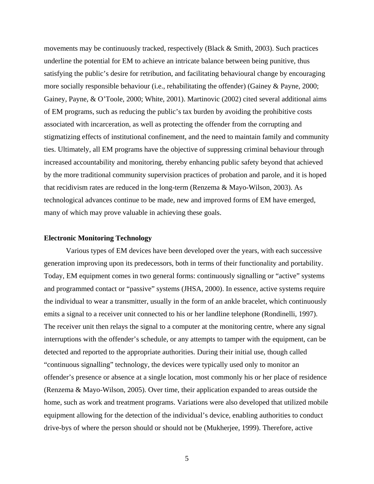<span id="page-6-0"></span>movements may be continuously tracked, respectively (Black & Smith, 2003). Such practices underline the potential for EM to achieve an intricate balance between being punitive, thus satisfying the public's desire for retribution, and facilitating behavioural change by encouraging more socially responsible behaviour (i.e., rehabilitating the offender) (Gainey & Payne, 2000; Gainey, Payne, & O'Toole, 2000; White, 2001). Martinovic (2002) cited several additional aims of EM programs, such as reducing the public's tax burden by avoiding the prohibitive costs associated with incarceration, as well as protecting the offender from the corrupting and stigmatizing effects of institutional confinement, and the need to maintain family and community ties. Ultimately, all EM programs have the objective of suppressing criminal behaviour through increased accountability and monitoring, thereby enhancing public safety beyond that achieved by the more traditional community supervision practices of probation and parole, and it is hoped that recidivism rates are reduced in the long-term (Renzema & Mayo-Wilson, 2003). As technological advances continue to be made, new and improved forms of EM have emerged, many of which may prove valuable in achieving these goals.

#### **Electronic Monitoring Technology**

 Various types of EM devices have been developed over the years, with each successive generation improving upon its predecessors, both in terms of their functionality and portability. Today, EM equipment comes in two general forms: continuously signalling or "active" systems and programmed contact or "passive" systems (JHSA, 2000). In essence, active systems require the individual to wear a transmitter, usually in the form of an ankle bracelet, which continuously emits a signal to a receiver unit connected to his or her landline telephone (Rondinelli, 1997). The receiver unit then relays the signal to a computer at the monitoring centre, where any signal interruptions with the offender's schedule, or any attempts to tamper with the equipment, can be detected and reported to the appropriate authorities. During their initial use, though called "continuous signalling" technology, the devices were typically used only to monitor an offender's presence or absence at a single location, most commonly his or her place of residence (Renzema & Mayo-Wilson, 2005). Over time, their application expanded to areas outside the home, such as work and treatment programs. Variations were also developed that utilized mobile equipment allowing for the detection of the individual's device, enabling authorities to conduct drive-bys of where the person should or should not be (Mukherjee, 1999). Therefore, active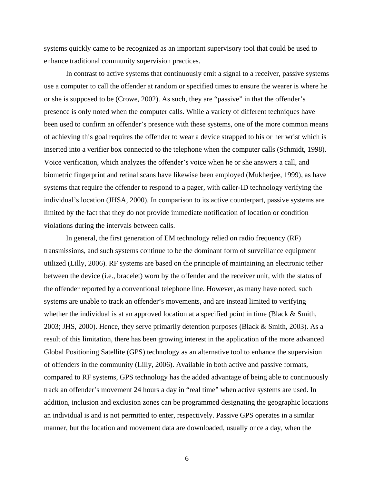systems quickly came to be recognized as an important supervisory tool that could be used to enhance traditional community supervision practices.

In contrast to active systems that continuously emit a signal to a receiver, passive systems use a computer to call the offender at random or specified times to ensure the wearer is where he or she is supposed to be (Crowe, 2002). As such, they are "passive" in that the offender's presence is only noted when the computer calls. While a variety of different techniques have been used to confirm an offender's presence with these systems, one of the more common means of achieving this goal requires the offender to wear a device strapped to his or her wrist which is inserted into a verifier box connected to the telephone when the computer calls (Schmidt, 1998). Voice verification, which analyzes the offender's voice when he or she answers a call, and biometric fingerprint and retinal scans have likewise been employed (Mukherjee, 1999), as have systems that require the offender to respond to a pager, with caller-ID technology verifying the individual's location (JHSA, 2000). In comparison to its active counterpart, passive systems are limited by the fact that they do not provide immediate notification of location or condition violations during the intervals between calls.

In general, the first generation of EM technology relied on radio frequency (RF) transmissions, and such systems continue to be the dominant form of surveillance equipment utilized (Lilly, 2006). RF systems are based on the principle of maintaining an electronic tether between the device (i.e., bracelet) worn by the offender and the receiver unit, with the status of the offender reported by a conventional telephone line. However, as many have noted, such systems are unable to track an offender's movements, and are instead limited to verifying whether the individual is at an approved location at a specified point in time (Black & Smith, 2003; JHS, 2000). Hence, they serve primarily detention purposes (Black & Smith, 2003). As a result of this limitation, there has been growing interest in the application of the more advanced Global Positioning Satellite (GPS) technology as an alternative tool to enhance the supervision of offenders in the community (Lilly, 2006). Available in both active and passive formats, compared to RF systems, GPS technology has the added advantage of being able to continuously track an offender's movement 24 hours a day in "real time" when active systems are used. In addition, inclusion and exclusion zones can be programmed designating the geographic locations an individual is and is not permitted to enter, respectively. Passive GPS operates in a similar manner, but the location and movement data are downloaded, usually once a day, when the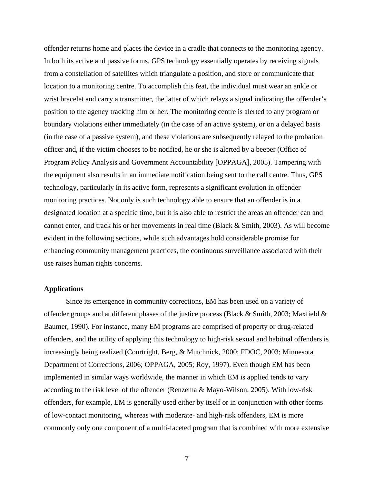<span id="page-8-0"></span>offender returns home and places the device in a cradle that connects to the monitoring agency. In both its active and passive forms, GPS technology essentially operates by receiving signals from a constellation of satellites which triangulate a position, and store or communicate that location to a monitoring centre. To accomplish this feat, the individual must wear an ankle or wrist bracelet and carry a transmitter, the latter of which relays a signal indicating the offender's position to the agency tracking him or her. The monitoring centre is alerted to any program or boundary violations either immediately (in the case of an active system), or on a delayed basis (in the case of a passive system), and these violations are subsequently relayed to the probation officer and, if the victim chooses to be notified, he or she is alerted by a beeper (Office of Program Policy Analysis and Government Accountability [OPPAGA], 2005). Tampering with the equipment also results in an immediate notification being sent to the call centre. Thus, GPS technology, particularly in its active form, represents a significant evolution in offender monitoring practices. Not only is such technology able to ensure that an offender is in a designated location at a specific time, but it is also able to restrict the areas an offender can and cannot enter, and track his or her movements in real time (Black & Smith, 2003). As will become evident in the following sections, while such advantages hold considerable promise for enhancing community management practices, the continuous surveillance associated with their use raises human rights concerns.

## **Applications**

Since its emergence in community corrections, EM has been used on a variety of offender groups and at different phases of the justice process (Black & Smith, 2003; Maxfield & Baumer, 1990). For instance, many EM programs are comprised of property or drug-related offenders, and the utility of applying this technology to high-risk sexual and habitual offenders is increasingly being realized (Courtright, Berg, & Mutchnick, 2000; FDOC, 2003; Minnesota Department of Corrections, 2006; OPPAGA, 2005; Roy, 1997). Even though EM has been implemented in similar ways worldwide, the manner in which EM is applied tends to vary according to the risk level of the offender (Renzema & Mayo-Wilson, 2005). With low-risk offenders, for example, EM is generally used either by itself or in conjunction with other forms of low-contact monitoring, whereas with moderate- and high-risk offenders, EM is more commonly only one component of a multi-faceted program that is combined with more extensive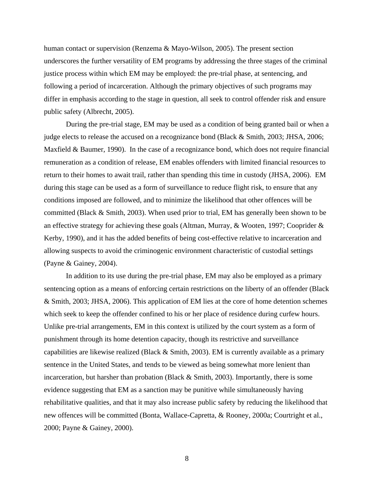human contact or supervision (Renzema & Mayo-Wilson, 2005). The present section underscores the further versatility of EM programs by addressing the three stages of the criminal justice process within which EM may be employed: the pre-trial phase, at sentencing, and following a period of incarceration. Although the primary objectives of such programs may differ in emphasis according to the stage in question, all seek to control offender risk and ensure public safety (Albrecht, 2005).

During the pre-trial stage, EM may be used as a condition of being granted bail or when a judge elects to release the accused on a recognizance bond (Black & Smith, 2003; JHSA, 2006; Maxfield & Baumer, 1990). In the case of a recognizance bond, which does not require financial remuneration as a condition of release, EM enables offenders with limited financial resources to return to their homes to await trail, rather than spending this time in custody (JHSA, 2006). EM during this stage can be used as a form of surveillance to reduce flight risk, to ensure that any conditions imposed are followed, and to minimize the likelihood that other offences will be committed (Black & Smith, 2003). When used prior to trial, EM has generally been shown to be an effective strategy for achieving these goals (Altman, Murray,  $\&$  Wooten, 1997; Cooprider  $\&$ Kerby, 1990), and it has the added benefits of being cost-effective relative to incarceration and allowing suspects to avoid the criminogenic environment characteristic of custodial settings (Payne & Gainey, 2004).

In addition to its use during the pre-trial phase, EM may also be employed as a primary sentencing option as a means of enforcing certain restrictions on the liberty of an offender (Black & Smith, 2003; JHSA, 2006). This application of EM lies at the core of home detention schemes which seek to keep the offender confined to his or her place of residence during curfew hours. Unlike pre-trial arrangements, EM in this context is utilized by the court system as a form of punishment through its home detention capacity, though its restrictive and surveillance capabilities are likewise realized (Black & Smith, 2003). EM is currently available as a primary sentence in the United States, and tends to be viewed as being somewhat more lenient than incarceration, but harsher than probation (Black & Smith, 2003). Importantly, there is some evidence suggesting that EM as a sanction may be punitive while simultaneously having rehabilitative qualities, and that it may also increase public safety by reducing the likelihood that new offences will be committed (Bonta, Wallace-Capretta, & Rooney, 2000a; Courtright et al., 2000; Payne & Gainey, 2000).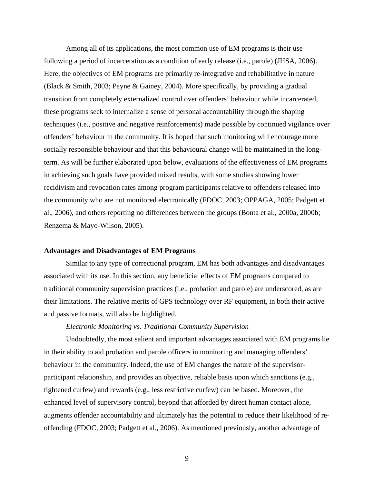<span id="page-10-0"></span>Among all of its applications, the most common use of EM programs is their use following a period of incarceration as a condition of early release (i.e., parole) (JHSA, 2006). Here, the objectives of EM programs are primarily re-integrative and rehabilitative in nature (Black & Smith, 2003; Payne & Gainey, 2004). More specifically, by providing a gradual transition from completely externalized control over offenders' behaviour while incarcerated, these programs seek to internalize a sense of personal accountability through the shaping techniques (i.e., positive and negative reinforcements) made possible by continued vigilance over offenders' behaviour in the community. It is hoped that such monitoring will encourage more socially responsible behaviour and that this behavioural change will be maintained in the longterm. As will be further elaborated upon below, evaluations of the effectiveness of EM programs in achieving such goals have provided mixed results, with some studies showing lower recidivism and revocation rates among program participants relative to offenders released into the community who are not monitored electronically (FDOC, 2003; OPPAGA, 2005; Padgett et al., 2006), and others reporting no differences between the groups (Bonta et al., 2000a, 2000b; Renzema & Mayo-Wilson, 2005).

#### **Advantages and Disadvantages of EM Programs**

 Similar to any type of correctional program, EM has both advantages and disadvantages associated with its use. In this section, any beneficial effects of EM programs compared to traditional community supervision practices (i.e., probation and parole) are underscored, as are their limitations. The relative merits of GPS technology over RF equipment, in both their active and passive formats, will also be highlighted.

## *Electronic Monitoring vs. Traditional Community Supervision*

 Undoubtedly, the most salient and important advantages associated with EM programs lie in their ability to aid probation and parole officers in monitoring and managing offenders' behaviour in the community. Indeed, the use of EM changes the nature of the supervisorparticipant relationship, and provides an objective, reliable basis upon which sanctions (e.g., tightened curfew) and rewards (e.g., less restrictive curfew) can be based. Moreover, the enhanced level of supervisory control, beyond that afforded by direct human contact alone, augments offender accountability and ultimately has the potential to reduce their likelihood of reoffending (FDOC, 2003; Padgett et al., 2006). As mentioned previously, another advantage of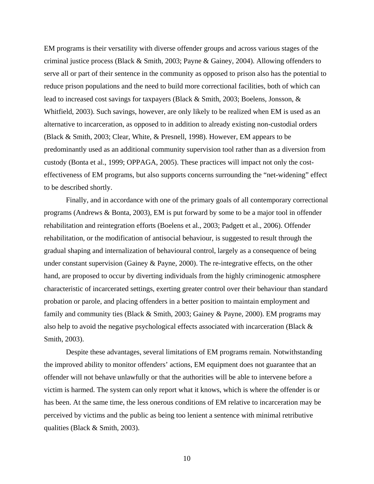EM programs is their versatility with diverse offender groups and across various stages of the criminal justice process (Black & Smith, 2003; Payne & Gainey, 2004). Allowing offenders to serve all or part of their sentence in the community as opposed to prison also has the potential to reduce prison populations and the need to build more correctional facilities, both of which can lead to increased cost savings for taxpayers (Black & Smith, 2003; Boelens, Jonsson, & Whitfield, 2003). Such savings, however, are only likely to be realized when EM is used as an alternative to incarceration, as opposed to in addition to already existing non-custodial orders (Black & Smith, 2003; Clear, White, & Presnell, 1998). However, EM appears to be predominantly used as an additional community supervision tool rather than as a diversion from custody (Bonta et al., 1999; OPPAGA, 2005). These practices will impact not only the costeffectiveness of EM programs, but also supports concerns surrounding the "net-widening" effect to be described shortly.

Finally, and in accordance with one of the primary goals of all contemporary correctional programs (Andrews & Bonta, 2003), EM is put forward by some to be a major tool in offender rehabilitation and reintegration efforts (Boelens et al., 2003; Padgett et al., 2006). Offender rehabilitation, or the modification of antisocial behaviour, is suggested to result through the gradual shaping and internalization of behavioural control, largely as a consequence of being under constant supervision (Gainey & Payne, 2000). The re-integrative effects, on the other hand, are proposed to occur by diverting individuals from the highly criminogenic atmosphere characteristic of incarcerated settings, exerting greater control over their behaviour than standard probation or parole, and placing offenders in a better position to maintain employment and family and community ties (Black & Smith, 2003; Gainey & Payne, 2000). EM programs may also help to avoid the negative psychological effects associated with incarceration (Black & Smith, 2003).

Despite these advantages, several limitations of EM programs remain. Notwithstanding the improved ability to monitor offenders' actions, EM equipment does not guarantee that an offender will not behave unlawfully or that the authorities will be able to intervene before a victim is harmed. The system can only report what it knows, which is where the offender is or has been. At the same time, the less onerous conditions of EM relative to incarceration may be perceived by victims and the public as being too lenient a sentence with minimal retributive qualities (Black & Smith, 2003).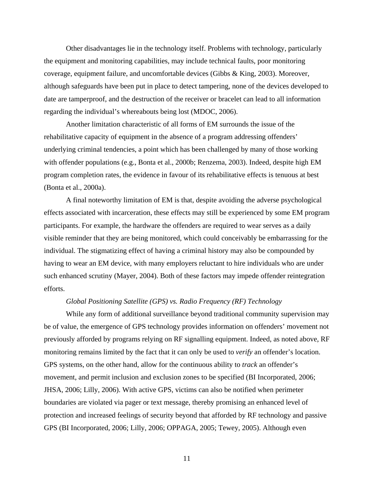<span id="page-12-0"></span>Other disadvantages lie in the technology itself. Problems with technology, particularly the equipment and monitoring capabilities, may include technical faults, poor monitoring coverage, equipment failure, and uncomfortable devices (Gibbs & King, 2003). Moreover, although safeguards have been put in place to detect tampering, none of the devices developed to date are tamperproof, and the destruction of the receiver or bracelet can lead to all information regarding the individual's whereabouts being lost (MDOC, 2006).

Another limitation characteristic of all forms of EM surrounds the issue of the rehabilitative capacity of equipment in the absence of a program addressing offenders' underlying criminal tendencies, a point which has been challenged by many of those working with offender populations (e.g., Bonta et al., 2000b; Renzema, 2003). Indeed, despite high EM program completion rates, the evidence in favour of its rehabilitative effects is tenuous at best (Bonta et al., 2000a).

A final noteworthy limitation of EM is that, despite avoiding the adverse psychological effects associated with incarceration, these effects may still be experienced by some EM program participants. For example, the hardware the offenders are required to wear serves as a daily visible reminder that they are being monitored, which could conceivably be embarrassing for the individual. The stigmatizing effect of having a criminal history may also be compounded by having to wear an EM device, with many employers reluctant to hire individuals who are under such enhanced scrutiny (Mayer, 2004). Both of these factors may impede offender reintegration efforts.

## *Global Positioning Satellite (GPS) vs. Radio Frequency (RF) Technology*

While any form of additional surveillance beyond traditional community supervision may be of value, the emergence of GPS technology provides information on offenders' movement not previously afforded by programs relying on RF signalling equipment. Indeed, as noted above, RF monitoring remains limited by the fact that it can only be used to *verify* an offender's location. GPS systems, on the other hand, allow for the continuous ability to *track* an offender's movement, and permit inclusion and exclusion zones to be specified (BI Incorporated, 2006; JHSA, 2006; Lilly, 2006). With active GPS, victims can also be notified when perimeter boundaries are violated via pager or text message, thereby promising an enhanced level of protection and increased feelings of security beyond that afforded by RF technology and passive GPS (BI Incorporated, 2006; Lilly, 2006; OPPAGA, 2005; Tewey, 2005). Although even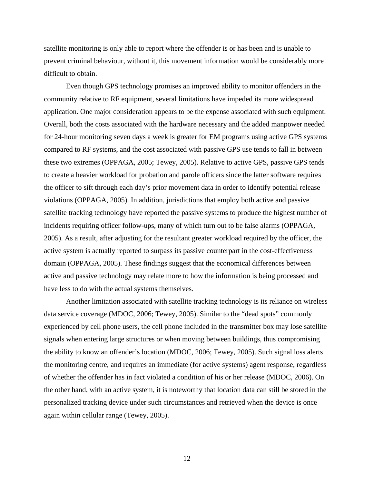satellite monitoring is only able to report where the offender is or has been and is unable to prevent criminal behaviour, without it, this movement information would be considerably more difficult to obtain.

Even though GPS technology promises an improved ability to monitor offenders in the community relative to RF equipment, several limitations have impeded its more widespread application. One major consideration appears to be the expense associated with such equipment. Overall, both the costs associated with the hardware necessary and the added manpower needed for 24-hour monitoring seven days a week is greater for EM programs using active GPS systems compared to RF systems, and the cost associated with passive GPS use tends to fall in between these two extremes (OPPAGA, 2005; Tewey, 2005). Relative to active GPS, passive GPS tends to create a heavier workload for probation and parole officers since the latter software requires the officer to sift through each day's prior movement data in order to identify potential release violations (OPPAGA, 2005). In addition, jurisdictions that employ both active and passive satellite tracking technology have reported the passive systems to produce the highest number of incidents requiring officer follow-ups, many of which turn out to be false alarms (OPPAGA, 2005). As a result, after adjusting for the resultant greater workload required by the officer, the active system is actually reported to surpass its passive counterpart in the cost-effectiveness domain (OPPAGA, 2005). These findings suggest that the economical differences between active and passive technology may relate more to how the information is being processed and have less to do with the actual systems themselves.

Another limitation associated with satellite tracking technology is its reliance on wireless data service coverage (MDOC, 2006; Tewey, 2005). Similar to the "dead spots" commonly experienced by cell phone users, the cell phone included in the transmitter box may lose satellite signals when entering large structures or when moving between buildings, thus compromising the ability to know an offender's location (MDOC, 2006; Tewey, 2005). Such signal loss alerts the monitoring centre, and requires an immediate (for active systems) agent response, regardless of whether the offender has in fact violated a condition of his or her release (MDOC, 2006). On the other hand, with an active system, it is noteworthy that location data can still be stored in the personalized tracking device under such circumstances and retrieved when the device is once again within cellular range (Tewey, 2005).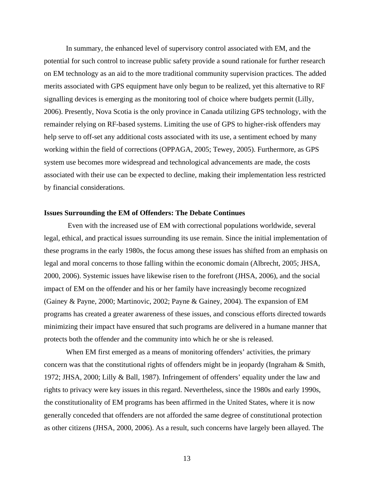<span id="page-14-0"></span>In summary, the enhanced level of supervisory control associated with EM, and the potential for such control to increase public safety provide a sound rationale for further research on EM technology as an aid to the more traditional community supervision practices. The added merits associated with GPS equipment have only begun to be realized, yet this alternative to RF signalling devices is emerging as the monitoring tool of choice where budgets permit (Lilly, 2006). Presently, Nova Scotia is the only province in Canada utilizing GPS technology, with the remainder relying on RF-based systems. Limiting the use of GPS to higher-risk offenders may help serve to off-set any additional costs associated with its use, a sentiment echoed by many working within the field of corrections (OPPAGA, 2005; Tewey, 2005). Furthermore, as GPS system use becomes more widespread and technological advancements are made, the costs associated with their use can be expected to decline, making their implementation less restricted by financial considerations.

## **Issues Surrounding the EM of Offenders: The Debate Continues**

 Even with the increased use of EM with correctional populations worldwide, several legal, ethical, and practical issues surrounding its use remain. Since the initial implementation of these programs in the early 1980s, the focus among these issues has shifted from an emphasis on legal and moral concerns to those falling within the economic domain (Albrecht, 2005; JHSA, 2000, 2006). Systemic issues have likewise risen to the forefront (JHSA, 2006), and the social impact of EM on the offender and his or her family have increasingly become recognized (Gainey & Payne, 2000; Martinovic, 2002; Payne & Gainey, 2004). The expansion of EM programs has created a greater awareness of these issues, and conscious efforts directed towards minimizing their impact have ensured that such programs are delivered in a humane manner that protects both the offender and the community into which he or she is released.

 When EM first emerged as a means of monitoring offenders' activities, the primary concern was that the constitutional rights of offenders might be in jeopardy (Ingraham & Smith, 1972; JHSA, 2000; Lilly & Ball, 1987). Infringement of offenders' equality under the law and rights to privacy were key issues in this regard. Nevertheless, since the 1980s and early 1990s, the constitutionality of EM programs has been affirmed in the United States, where it is now generally conceded that offenders are not afforded the same degree of constitutional protection as other citizens (JHSA, 2000, 2006). As a result, such concerns have largely been allayed. The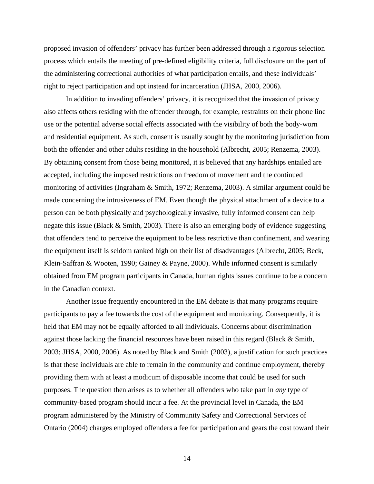proposed invasion of offenders' privacy has further been addressed through a rigorous selection process which entails the meeting of pre-defined eligibility criteria, full disclosure on the part of the administering correctional authorities of what participation entails, and these individuals' right to reject participation and opt instead for incarceration (JHSA, 2000, 2006).

In addition to invading offenders' privacy, it is recognized that the invasion of privacy also affects others residing with the offender through, for example, restraints on their phone line use or the potential adverse social effects associated with the visibility of both the body-worn and residential equipment. As such, consent is usually sought by the monitoring jurisdiction from both the offender and other adults residing in the household (Albrecht, 2005; Renzema, 2003). By obtaining consent from those being monitored, it is believed that any hardships entailed are accepted, including the imposed restrictions on freedom of movement and the continued monitoring of activities (Ingraham & Smith, 1972; Renzema, 2003). A similar argument could be made concerning the intrusiveness of EM. Even though the physical attachment of a device to a person can be both physically and psychologically invasive, fully informed consent can help negate this issue (Black  $&$  Smith, 2003). There is also an emerging body of evidence suggesting that offenders tend to perceive the equipment to be less restrictive than confinement, and wearing the equipment itself is seldom ranked high on their list of disadvantages (Albrecht, 2005; Beck, Klein-Saffran & Wooten, 1990; Gainey & Payne, 2000). While informed consent is similarly obtained from EM program participants in Canada, human rights issues continue to be a concern in the Canadian context.

Another issue frequently encountered in the EM debate is that many programs require participants to pay a fee towards the cost of the equipment and monitoring. Consequently, it is held that EM may not be equally afforded to all individuals. Concerns about discrimination against those lacking the financial resources have been raised in this regard (Black & Smith, 2003; JHSA, 2000, 2006). As noted by Black and Smith (2003), a justification for such practices is that these individuals are able to remain in the community and continue employment, thereby providing them with at least a modicum of disposable income that could be used for such purposes. The question then arises as to whether all offenders who take part in *any* type of community-based program should incur a fee. At the provincial level in Canada, the EM program administered by the Ministry of Community Safety and Correctional Services of Ontario (2004) charges employed offenders a fee for participation and gears the cost toward their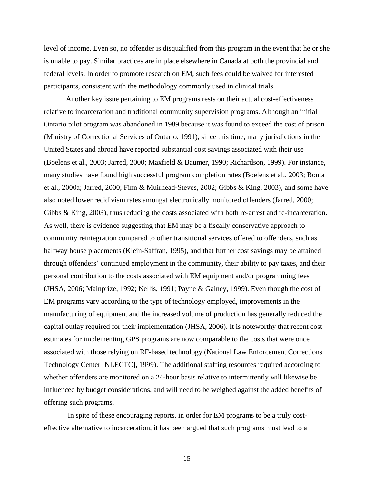level of income. Even so, no offender is disqualified from this program in the event that he or she is unable to pay. Similar practices are in place elsewhere in Canada at both the provincial and federal levels. In order to promote research on EM, such fees could be waived for interested participants, consistent with the methodology commonly used in clinical trials.

Another key issue pertaining to EM programs rests on their actual cost-effectiveness relative to incarceration and traditional community supervision programs. Although an initial Ontario pilot program was abandoned in 1989 because it was found to exceed the cost of prison (Ministry of Correctional Services of Ontario, 1991), since this time, many jurisdictions in the United States and abroad have reported substantial cost savings associated with their use (Boelens et al., 2003; Jarred, 2000; Maxfield & Baumer, 1990; Richardson, 1999). For instance, many studies have found high successful program completion rates (Boelens et al., 2003; Bonta et al., 2000a; Jarred, 2000; Finn & Muirhead-Steves, 2002; Gibbs & King, 2003), and some have also noted lower recidivism rates amongst electronically monitored offenders (Jarred, 2000; Gibbs & King, 2003), thus reducing the costs associated with both re-arrest and re-incarceration. As well, there is evidence suggesting that EM may be a fiscally conservative approach to community reintegration compared to other transitional services offered to offenders, such as halfway house placements (Klein-Saffran, 1995), and that further cost savings may be attained through offenders' continued employment in the community, their ability to pay taxes, and their personal contribution to the costs associated with EM equipment and/or programming fees (JHSA, 2006; Mainprize, 1992; Nellis, 1991; Payne & Gainey, 1999). Even though the cost of EM programs vary according to the type of technology employed, improvements in the manufacturing of equipment and the increased volume of production has generally reduced the capital outlay required for their implementation (JHSA, 2006). It is noteworthy that recent cost estimates for implementing GPS programs are now comparable to the costs that were once associated with those relying on RF-based technology (National Law Enforcement Corrections Technology Center [NLECTC], 1999). The additional staffing resources required according to whether offenders are monitored on a 24-hour basis relative to intermittently will likewise be influenced by budget considerations, and will need to be weighed against the added benefits of offering such programs.

 In spite of these encouraging reports, in order for EM programs to be a truly costeffective alternative to incarceration, it has been argued that such programs must lead to a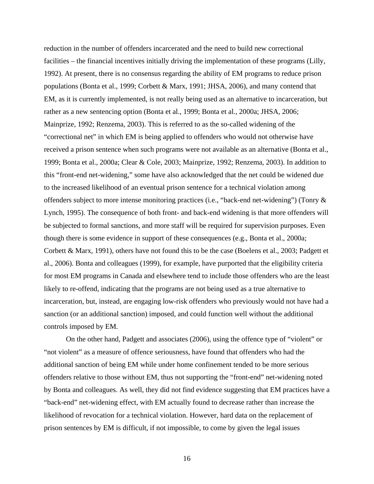reduction in the number of offenders incarcerated and the need to build new correctional facilities – the financial incentives initially driving the implementation of these programs (Lilly, 1992). At present, there is no consensus regarding the ability of EM programs to reduce prison populations (Bonta et al., 1999; Corbett & Marx, 1991; JHSA, 2006), and many contend that EM, as it is currently implemented, is not really being used as an alternative to incarceration, but rather as a new sentencing option (Bonta et al., 1999; Bonta et al., 2000a; JHSA, 2006; Mainprize, 1992; Renzema, 2003). This is referred to as the so-called widening of the "correctional net" in which EM is being applied to offenders who would not otherwise have received a prison sentence when such programs were not available as an alternative (Bonta et al., 1999; Bonta et al., 2000a; Clear & Cole, 2003; Mainprize, 1992; Renzema, 2003). In addition to this "front-end net-widening," some have also acknowledged that the net could be widened due to the increased likelihood of an eventual prison sentence for a technical violation among offenders subject to more intense monitoring practices (i.e., "back-end net-widening") (Tonry & Lynch, 1995). The consequence of both front- and back-end widening is that more offenders will be subjected to formal sanctions, and more staff will be required for supervision purposes. Even though there is some evidence in support of these consequences (e.g., Bonta et al., 2000a; Corbett & Marx, 1991), others have not found this to be the case (Boelens et al., 2003; Padgett et al., 2006). Bonta and colleagues (1999), for example, have purported that the eligibility criteria for most EM programs in Canada and elsewhere tend to include those offenders who are the least likely to re-offend, indicating that the programs are not being used as a true alternative to incarceration, but, instead, are engaging low-risk offenders who previously would not have had a sanction (or an additional sanction) imposed, and could function well without the additional controls imposed by EM.

On the other hand, Padgett and associates (2006), using the offence type of "violent" or "not violent" as a measure of offence seriousness, have found that offenders who had the additional sanction of being EM while under home confinement tended to be more serious offenders relative to those without EM, thus not supporting the "front-end" net-widening noted by Bonta and colleagues. As well, they did not find evidence suggesting that EM practices have a "back-end" net-widening effect, with EM actually found to decrease rather than increase the likelihood of revocation for a technical violation. However, hard data on the replacement of prison sentences by EM is difficult, if not impossible, to come by given the legal issues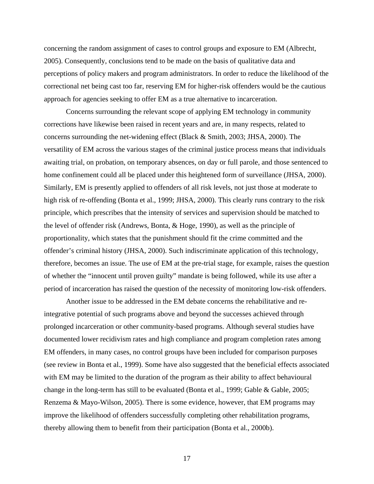concerning the random assignment of cases to control groups and exposure to EM (Albrecht, 2005). Consequently, conclusions tend to be made on the basis of qualitative data and perceptions of policy makers and program administrators. In order to reduce the likelihood of the correctional net being cast too far, reserving EM for higher-risk offenders would be the cautious approach for agencies seeking to offer EM as a true alternative to incarceration.

Concerns surrounding the relevant scope of applying EM technology in community corrections have likewise been raised in recent years and are, in many respects, related to concerns surrounding the net-widening effect (Black & Smith, 2003; JHSA, 2000). The versatility of EM across the various stages of the criminal justice process means that individuals awaiting trial, on probation, on temporary absences, on day or full parole, and those sentenced to home confinement could all be placed under this heightened form of surveillance (JHSA, 2000). Similarly, EM is presently applied to offenders of all risk levels, not just those at moderate to high risk of re-offending (Bonta et al., 1999; JHSA, 2000). This clearly runs contrary to the risk principle, which prescribes that the intensity of services and supervision should be matched to the level of offender risk (Andrews, Bonta, & Hoge, 1990), as well as the principle of proportionality, which states that the punishment should fit the crime committed and the offender's criminal history (JHSA, 2000). Such indiscriminate application of this technology, therefore, becomes an issue. The use of EM at the pre-trial stage, for example, raises the question of whether the "innocent until proven guilty" mandate is being followed, while its use after a period of incarceration has raised the question of the necessity of monitoring low-risk offenders.

 Another issue to be addressed in the EM debate concerns the rehabilitative and reintegrative potential of such programs above and beyond the successes achieved through prolonged incarceration or other community-based programs. Although several studies have documented lower recidivism rates and high compliance and program completion rates among EM offenders, in many cases, no control groups have been included for comparison purposes (see review in Bonta et al., 1999). Some have also suggested that the beneficial effects associated with EM may be limited to the duration of the program as their ability to affect behavioural change in the long-term has still to be evaluated (Bonta et al., 1999; Gable & Gable, 2005; Renzema & Mayo-Wilson, 2005). There is some evidence, however, that EM programs may improve the likelihood of offenders successfully completing other rehabilitation programs, thereby allowing them to benefit from their participation (Bonta et al., 2000b).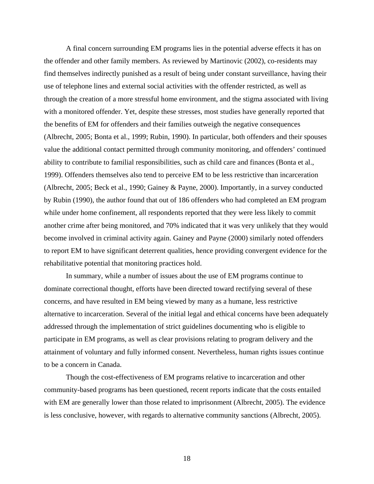A final concern surrounding EM programs lies in the potential adverse effects it has on the offender and other family members. As reviewed by Martinovic (2002), co-residents may find themselves indirectly punished as a result of being under constant surveillance, having their use of telephone lines and external social activities with the offender restricted, as well as through the creation of a more stressful home environment, and the stigma associated with living with a monitored offender. Yet, despite these stresses, most studies have generally reported that the benefits of EM for offenders and their families outweigh the negative consequences (Albrecht, 2005; Bonta et al., 1999; Rubin, 1990). In particular, both offenders and their spouses value the additional contact permitted through community monitoring, and offenders' continued ability to contribute to familial responsibilities, such as child care and finances (Bonta et al., 1999). Offenders themselves also tend to perceive EM to be less restrictive than incarceration (Albrecht, 2005; Beck et al., 1990; Gainey & Payne, 2000). Importantly, in a survey conducted by Rubin (1990), the author found that out of 186 offenders who had completed an EM program while under home confinement, all respondents reported that they were less likely to commit another crime after being monitored, and 70% indicated that it was very unlikely that they would become involved in criminal activity again. Gainey and Payne (2000) similarly noted offenders to report EM to have significant deterrent qualities, hence providing convergent evidence for the rehabilitative potential that monitoring practices hold.

In summary, while a number of issues about the use of EM programs continue to dominate correctional thought, efforts have been directed toward rectifying several of these concerns, and have resulted in EM being viewed by many as a humane, less restrictive alternative to incarceration. Several of the initial legal and ethical concerns have been adequately addressed through the implementation of strict guidelines documenting who is eligible to participate in EM programs, as well as clear provisions relating to program delivery and the attainment of voluntary and fully informed consent. Nevertheless, human rights issues continue to be a concern in Canada.

Though the cost-effectiveness of EM programs relative to incarceration and other community-based programs has been questioned, recent reports indicate that the costs entailed with EM are generally lower than those related to imprisonment (Albrecht, 2005). The evidence is less conclusive, however, with regards to alternative community sanctions (Albrecht, 2005).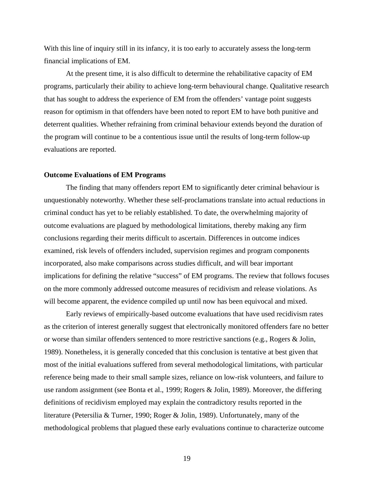<span id="page-20-0"></span>With this line of inquiry still in its infancy, it is too early to accurately assess the long-term financial implications of EM.

At the present time, it is also difficult to determine the rehabilitative capacity of EM programs, particularly their ability to achieve long-term behavioural change. Qualitative research that has sought to address the experience of EM from the offenders' vantage point suggests reason for optimism in that offenders have been noted to report EM to have both punitive and deterrent qualities. Whether refraining from criminal behaviour extends beyond the duration of the program will continue to be a contentious issue until the results of long-term follow-up evaluations are reported.

#### **Outcome Evaluations of EM Programs**

 The finding that many offenders report EM to significantly deter criminal behaviour is unquestionably noteworthy. Whether these self-proclamations translate into actual reductions in criminal conduct has yet to be reliably established. To date, the overwhelming majority of outcome evaluations are plagued by methodological limitations, thereby making any firm conclusions regarding their merits difficult to ascertain. Differences in outcome indices examined, risk levels of offenders included, supervision regimes and program components incorporated, also make comparisons across studies difficult, and will bear important implications for defining the relative "success" of EM programs. The review that follows focuses on the more commonly addressed outcome measures of recidivism and release violations. As will become apparent, the evidence compiled up until now has been equivocal and mixed.

 Early reviews of empirically-based outcome evaluations that have used recidivism rates as the criterion of interest generally suggest that electronically monitored offenders fare no better or worse than similar offenders sentenced to more restrictive sanctions (e.g., Rogers & Jolin, 1989). Nonetheless, it is generally conceded that this conclusion is tentative at best given that most of the initial evaluations suffered from several methodological limitations, with particular reference being made to their small sample sizes, reliance on low-risk volunteers, and failure to use random assignment (see Bonta et al., 1999; Rogers & Jolin, 1989). Moreover, the differing definitions of recidivism employed may explain the contradictory results reported in the literature (Petersilia & Turner, 1990; Roger & Jolin, 1989). Unfortunately, many of the methodological problems that plagued these early evaluations continue to characterize outcome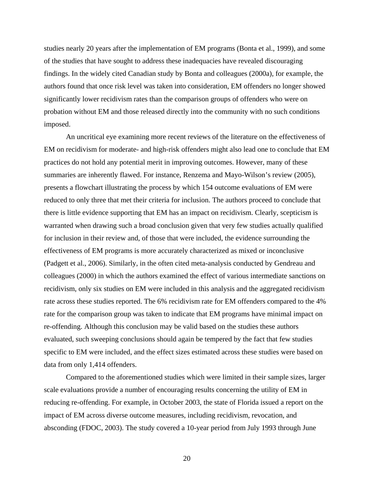studies nearly 20 years after the implementation of EM programs (Bonta et al., 1999), and some of the studies that have sought to address these inadequacies have revealed discouraging findings. In the widely cited Canadian study by Bonta and colleagues (2000a), for example, the authors found that once risk level was taken into consideration, EM offenders no longer showed significantly lower recidivism rates than the comparison groups of offenders who were on probation without EM and those released directly into the community with no such conditions imposed.

 An uncritical eye examining more recent reviews of the literature on the effectiveness of EM on recidivism for moderate- and high-risk offenders might also lead one to conclude that EM practices do not hold any potential merit in improving outcomes. However, many of these summaries are inherently flawed. For instance, Renzema and Mayo-Wilson's review (2005), presents a flowchart illustrating the process by which 154 outcome evaluations of EM were reduced to only three that met their criteria for inclusion. The authors proceed to conclude that there is little evidence supporting that EM has an impact on recidivism. Clearly, scepticism is warranted when drawing such a broad conclusion given that very few studies actually qualified for inclusion in their review and, of those that were included, the evidence surrounding the effectiveness of EM programs is more accurately characterized as mixed or inconclusive (Padgett et al., 2006). Similarly, in the often cited meta-analysis conducted by Gendreau and colleagues (2000) in which the authors examined the effect of various intermediate sanctions on recidivism, only six studies on EM were included in this analysis and the aggregated recidivism rate across these studies reported. The 6% recidivism rate for EM offenders compared to the 4% rate for the comparison group was taken to indicate that EM programs have minimal impact on re-offending. Although this conclusion may be valid based on the studies these authors evaluated, such sweeping conclusions should again be tempered by the fact that few studies specific to EM were included, and the effect sizes estimated across these studies were based on data from only 1,414 offenders.

Compared to the aforementioned studies which were limited in their sample sizes, larger scale evaluations provide a number of encouraging results concerning the utility of EM in reducing re-offending. For example, in October 2003, the state of Florida issued a report on the impact of EM across diverse outcome measures, including recidivism, revocation, and absconding (FDOC, 2003). The study covered a 10-year period from July 1993 through June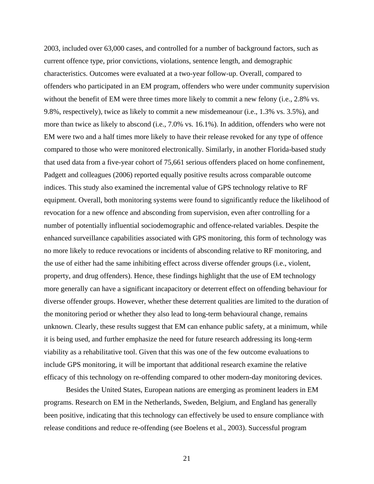2003, included over 63,000 cases, and controlled for a number of background factors, such as current offence type, prior convictions, violations, sentence length, and demographic characteristics. Outcomes were evaluated at a two-year follow-up. Overall, compared to offenders who participated in an EM program, offenders who were under community supervision without the benefit of EM were three times more likely to commit a new felony (i.e., 2.8% vs. 9.8%, respectively), twice as likely to commit a new misdemeanour (i.e., 1.3% vs. 3.5%), and more than twice as likely to abscond (i.e., 7.0% vs. 16.1%). In addition, offenders who were not EM were two and a half times more likely to have their release revoked for any type of offence compared to those who were monitored electronically. Similarly, in another Florida-based study that used data from a five-year cohort of 75,661 serious offenders placed on home confinement, Padgett and colleagues (2006) reported equally positive results across comparable outcome indices. This study also examined the incremental value of GPS technology relative to RF equipment. Overall, both monitoring systems were found to significantly reduce the likelihood of revocation for a new offence and absconding from supervision, even after controlling for a number of potentially influential sociodemographic and offence-related variables. Despite the enhanced surveillance capabilities associated with GPS monitoring, this form of technology was no more likely to reduce revocations or incidents of absconding relative to RF monitoring, and the use of either had the same inhibiting effect across diverse offender groups (i.e., violent, property, and drug offenders). Hence, these findings highlight that the use of EM technology more generally can have a significant incapacitory or deterrent effect on offending behaviour for diverse offender groups. However, whether these deterrent qualities are limited to the duration of the monitoring period or whether they also lead to long-term behavioural change, remains unknown. Clearly, these results suggest that EM can enhance public safety, at a minimum, while it is being used, and further emphasize the need for future research addressing its long-term viability as a rehabilitative tool. Given that this was one of the few outcome evaluations to include GPS monitoring, it will be important that additional research examine the relative efficacy of this technology on re-offending compared to other modern-day monitoring devices.

Besides the United States, European nations are emerging as prominent leaders in EM programs. Research on EM in the Netherlands, Sweden, Belgium, and England has generally been positive, indicating that this technology can effectively be used to ensure compliance with release conditions and reduce re-offending (see Boelens et al., 2003). Successful program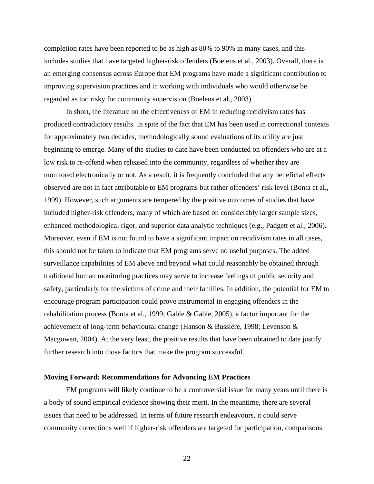<span id="page-23-0"></span>completion rates have been reported to be as high as 80% to 90% in many cases, and this includes studies that have targeted higher-risk offenders (Boelens et al., 2003). Overall, there is an emerging consensus across Europe that EM programs have made a significant contribution to improving supervision practices and in working with individuals who would otherwise be regarded as too risky for community supervision (Boelens et al., 2003).

In short, the literature on the effectiveness of EM in reducing recidivism rates has produced contradictory results. In spite of the fact that EM has been used in correctional contexts for approximately two decades, methodologically sound evaluations of its utility are just beginning to emerge. Many of the studies to date have been conducted on offenders who are at a low risk to re-offend when released into the community, regardless of whether they are monitored electronically or not. As a result, it is frequently concluded that any beneficial effects observed are not in fact attributable to EM programs but rather offenders' risk level (Bonta et al., 1999). However, such arguments are tempered by the positive outcomes of studies that have included higher-risk offenders, many of which are based on considerably larger sample sizes, enhanced methodological rigor, and superior data analytic techniques (e.g., Padgett et al., 2006). Moreover, even if EM is not found to have a significant impact on recidivism rates in all cases, this should not be taken to indicate that EM programs serve no useful purposes. The added surveillance capabilities of EM above and beyond what could reasonably be obtained through traditional human monitoring practices may serve to increase feelings of public security and safety, particularly for the victims of crime and their families. In addition, the potential for EM to encourage program participation could prove instrumental in engaging offenders in the rehabilitation process (Bonta et al., 1999; Gable & Gable, 2005), a factor important for the achievement of long-term behavioural change (Hanson & Bussière, 1998; Levenson & Macgowan, 2004). At the very least, the positive results that have been obtained to date justify further research into those factors that make the program successful.

## **Moving Forward: Recommendations for Advancing EM Practices**

 EM programs will likely continue to be a controversial issue for many years until there is a body of sound empirical evidence showing their merit. In the meantime, there are several issues that need to be addressed. In terms of future research endeavours, it could serve community corrections well if higher-risk offenders are targeted for participation, comparisons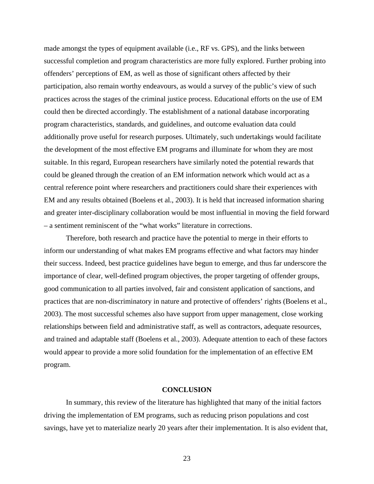<span id="page-24-0"></span>made amongst the types of equipment available (i.e., RF vs. GPS), and the links between successful completion and program characteristics are more fully explored. Further probing into offenders' perceptions of EM, as well as those of significant others affected by their participation, also remain worthy endeavours, as would a survey of the public's view of such practices across the stages of the criminal justice process. Educational efforts on the use of EM could then be directed accordingly. The establishment of a national database incorporating program characteristics, standards, and guidelines, and outcome evaluation data could additionally prove useful for research purposes. Ultimately, such undertakings would facilitate the development of the most effective EM programs and illuminate for whom they are most suitable. In this regard, European researchers have similarly noted the potential rewards that could be gleaned through the creation of an EM information network which would act as a central reference point where researchers and practitioners could share their experiences with EM and any results obtained (Boelens et al., 2003). It is held that increased information sharing and greater inter-disciplinary collaboration would be most influential in moving the field forward – a sentiment reminiscent of the "what works" literature in corrections.

 Therefore, both research and practice have the potential to merge in their efforts to inform our understanding of what makes EM programs effective and what factors may hinder their success. Indeed, best practice guidelines have begun to emerge, and thus far underscore the importance of clear, well-defined program objectives, the proper targeting of offender groups, good communication to all parties involved, fair and consistent application of sanctions, and practices that are non-discriminatory in nature and protective of offenders' rights (Boelens et al., 2003). The most successful schemes also have support from upper management, close working relationships between field and administrative staff, as well as contractors, adequate resources, and trained and adaptable staff (Boelens et al., 2003). Adequate attention to each of these factors would appear to provide a more solid foundation for the implementation of an effective EM program.

## **CONCLUSION**

In summary, this review of the literature has highlighted that many of the initial factors driving the implementation of EM programs, such as reducing prison populations and cost savings, have yet to materialize nearly 20 years after their implementation. It is also evident that,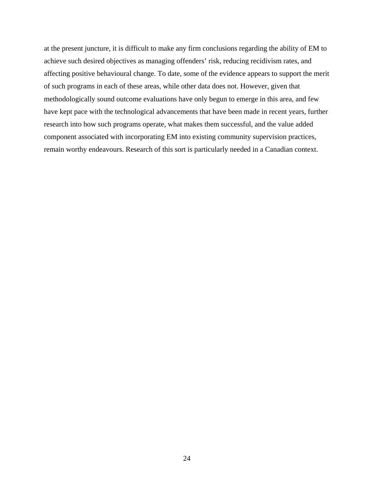at the present juncture, it is difficult to make any firm conclusions regarding the ability of EM to achieve such desired objectives as managing offenders' risk, reducing recidivism rates, and affecting positive behavioural change. To date, some of the evidence appears to support the merit of such programs in each of these areas, while other data does not. However, given that methodologically sound outcome evaluations have only begun to emerge in this area, and few have kept pace with the technological advancements that have been made in recent years, further research into how such programs operate, what makes them successful, and the value added component associated with incorporating EM into existing community supervision practices, remain worthy endeavours. Research of this sort is particularly needed in a Canadian context.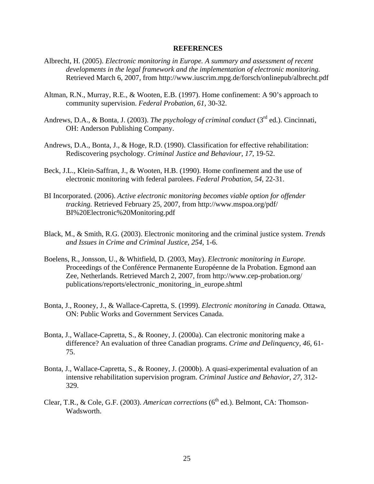#### **REFERENCES**

- <span id="page-26-0"></span>Albrecht, H. (2005). *Electronic monitoring in Europe. A summary and assessment of recent developments in the legal framework and the implementation of electronic monitoring.* Retrieved March 6, 2007, from<http://www.iuscrim.mpg.de/forsch/onlinepub/albrecht.pdf>
- Altman, R.N., Murray, R.E., & Wooten, E.B. (1997). Home confinement: A 90's approach to community supervision. *Federal Probation, 61,* 30-32.
- Andrews, D.A., & Bonta, J. (2003). *The psychology of criminal conduct* (3<sup>rd</sup> ed.). Cincinnati, OH: Anderson Publishing Company.
- Andrews, D.A., Bonta, J., & Hoge, R.D. (1990). Classification for effective rehabilitation: Rediscovering psychology. *Criminal Justice and Behaviour, 17,* 19-52.
- Beck, J.L., Klein-Saffran, J., & Wooten, H.B. (1990). Home confinement and the use of electronic monitoring with federal parolees. *Federal Probation, 54,* 22-31.
- BI Incorporated. (2006). *Active electronic monitoring becomes viable option for offender tracking.* Retrieved February 25, 2007, from<http://www.mspoa.org/pdf/> BI%20Electronic%20Monitoring.pdf
- Black, M., & Smith, R.G. (2003). Electronic monitoring and the criminal justice system. *Trends and Issues in Crime and Criminal Justice, 254,* 1-6.
- Boelens, R., Jonsson, U., & Whitfield, D. (2003, May). *Electronic monitoring in Europe.* Proceedings of the Conférence Permanente Européenne de la Probation. Egmond aan Zee, Netherlands. Retrieved March 2, 2007, from<http://www.cep-probation.org/> publications/reports/electronic\_monitoring\_in\_europe.shtml
- Bonta, J., Rooney, J., & Wallace-Capretta, S. (1999). *Electronic monitoring in Canada.* Ottawa, ON: Public Works and Government Services Canada.
- Bonta, J., Wallace-Capretta, S., & Rooney, J. (2000a). Can electronic monitoring make a difference? An evaluation of three Canadian programs. *Crime and Delinquency, 46,* 61- 75.
- Bonta, J., Wallace-Capretta, S., & Rooney, J. (2000b). A quasi-experimental evaluation of an intensive rehabilitation supervision program. *Criminal Justice and Behavior, 27,* 312- 329.
- Clear, T.R., & Cole, G.F. (2003). *American corrections* (6<sup>th</sup> ed.). Belmont, CA: Thomson-Wadsworth.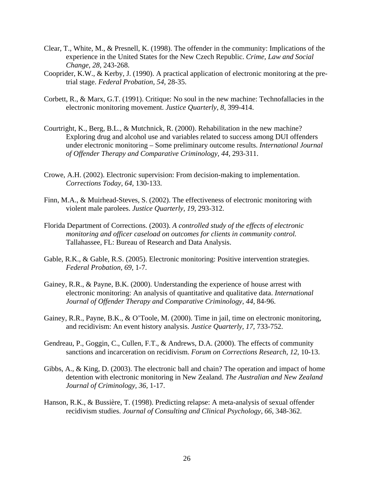- Clear, T., White, M., & Presnell, K. (1998). The offender in the community: Implications of the experience in the United States for the New Czech Republic. *Crime, Law and Social Change, 28,* 243-268.
- Cooprider, K.W., & Kerby, J. (1990). A practical application of electronic monitoring at the pretrial stage. *Federal Probation, 54,* 28-35.
- Corbett, R., & Marx, G.T. (1991). Critique: No soul in the new machine: Technofallacies in the electronic monitoring movement. *Justice Quarterly, 8,* 399-414.
- Courtright, K., Berg, B.L., & Mutchnick, R. (2000). Rehabilitation in the new machine? Exploring drug and alcohol use and variables related to success among DUI offenders under electronic monitoring – Some preliminary outcome results. *International Journal of Offender Therapy and Comparative Criminology, 44,* 293-311.
- Crowe, A.H. (2002). Electronic supervision: From decision-making to implementation. *Corrections Today, 64,* 130-133.
- Finn, M.A., & Muirhead-Steves, S. (2002). The effectiveness of electronic monitoring with violent male parolees. *Justice Quarterly, 19,* 293-312.
- Florida Department of Corrections. (2003). *A controlled study of the effects of electronic monitoring and officer caseload on outcomes for clients in community control.* Tallahassee, FL: Bureau of Research and Data Analysis.
- Gable, R.K., & Gable, R.S. (2005). Electronic monitoring: Positive intervention strategies. *Federal Probation, 69,* 1-7.
- Gainey, R.R., & Payne, B.K. (2000). Understanding the experience of house arrest with electronic monitoring: An analysis of quantitative and qualitative data. *International Journal of Offender Therapy and Comparative Criminology, 44,* 84-96.
- Gainey, R.R., Payne, B.K., & O'Toole, M. (2000). Time in jail, time on electronic monitoring, and recidivism: An event history analysis. *Justice Quarterly, 17,* 733-752.
- Gendreau, P., Goggin, C., Cullen, F.T., & Andrews, D.A. (2000). The effects of community sanctions and incarceration on recidivism. *Forum on Corrections Research, 12,* 10-13.
- Gibbs, A., & King, D. (2003). The electronic ball and chain? The operation and impact of home detention with electronic monitoring in New Zealand. *The Australian and New Zealand Journal of Criminology, 36,* 1-17.
- Hanson, R.K., & Bussière, T. (1998). Predicting relapse: A meta-analysis of sexual offender recidivism studies. *Journal of Consulting and Clinical Psychology, 66,* 348-362.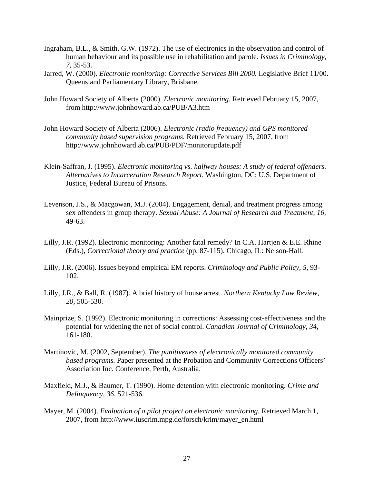- Ingraham, B.L., & Smith, G.W. (1972). The use of electronics in the observation and control of human behaviour and its possible use in rehabilitation and parole. *Issues in Criminology, 7,* 35-53.
- Jarred, W. (2000). *Electronic monitoring: Corrective Services Bill 2000.* Legislative Brief 11/00. Queensland Parliamentary Library, Brisbane.
- John Howard Society of Alberta (2000). *Electronic monitoring.* Retrieved February 15, 2007, from<http://www.johnhoward.ab.ca/PUB/A3.htm>
- John Howard Society of Alberta (2006). *Electronic (radio frequency) and GPS monitored community based supervision programs.* Retrieved February 15, 2007, from http://www.johnhoward.ab.ca/PUB/PDF/monitorupdate.pdf
- Klein-Saffran, J. (1995). *Electronic monitoring vs. halfway houses: A study of federal offenders. Alternatives to Incarceration Research Report.* Washington, DC: U.S. Department of Justice, Federal Bureau of Prisons.
- Levenson, J.S., & Macgowan, M.J. (2004). Engagement, denial, and treatment progress among sex offenders in group therapy. *Sexual Abuse: A Journal of Research and Treatment, 16,* 49-63.
- Lilly, J.R. (1992). Electronic monitoring: Another fatal remedy? In C.A. Hartjen & E.E. Rhine (Eds.), *Correctional theory and practice* (pp. 87-115). Chicago, IL: Nelson-Hall.
- Lilly, J.R. (2006). Issues beyond empirical EM reports. *Criminology and Public Policy, 5,* 93- 102.
- Lilly, J.R., & Ball, R. (1987). A brief history of house arrest. *Northern Kentucky Law Review, 20,* 505-530.
- Mainprize, S. (1992). Electronic monitoring in corrections: Assessing cost-effectiveness and the potential for widening the net of social control. *Canadian Journal of Criminology, 34,* 161-180.
- Martinovic, M. (2002, September). *The punitiveness of electronically monitored community based programs.* Paper presented at the Probation and Community Corrections Officers' Association Inc. Conference, Perth, Australia.
- Maxfield, M.J., & Baumer, T. (1990). Home detention with electronic monitoring. *Crime and Delinquency, 36,* 521-536.
- Mayer, M. (2004). *Evaluation of a pilot project on electronic monitoring.* Retrieved March 1, 2007, from http://www.iuscrim.mpg.de/forsch/krim/mayer\_en.html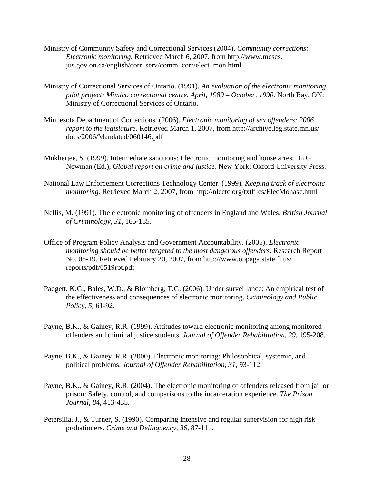- Ministry of Community Safety and Correctional Services (2004). *Community corrections: Electronic monitoring.* Retrieved March 6, 2007, from [http://www.mcscs.](http://www.mcscs.%20jus.gov.on.ca/english/)  [jus.gov.on.ca/english/](http://www.mcscs.%20jus.gov.on.ca/english/)corr\_serv/comm\_corr/elect\_mon.html
- Ministry of Correctional Services of Ontario. (1991). *An evaluation of the electronic monitoring pilot project: Mimico correctional centre, April, 1989 – October, 1990.* North Bay, ON: Ministry of Correctional Services of Ontario.
- Minnesota Department of Corrections. (2006). *Electronic monitoring of sex offenders: 2006 report to the legislature.* Retrieved March 1, 2007, from [http://archive.leg.state.mn.us/](http://archive.leg.state.mn.us/%20docs/2006)  [docs/2006](http://archive.leg.state.mn.us/%20docs/2006)/Mandated/060146.pdf
- Mukherjee, S. (1999). Intermediate sanctions: Electronic monitoring and house arrest. In G. Newman (Ed.), *Global report on crime and justice*. New York: Oxford University Press.
- National Law Enforcement Corrections Technology Center. (1999). *Keeping track of electronic monitoring.* Retrieved March 2, 2007, from http://nlectc.org/txtfiles/ElecMonasc.html
- Nellis, M. (1991). The electronic monitoring of offenders in England and Wales. *British Journal of Criminology, 31,* 165-185.
- Office of Program Policy Analysis and Government Accountability. (2005). *Electronic monitoring should be better targeted to the most dangerous offenders.* Research Report No. 05-19. Retrieved February 20, 2007, from <http://www.oppaga.state.fl.us/> reports/pdf/0519rpt.pdf
- Padgett, K.G., Bales, W.D., & Blomberg, T.G. (2006). Under surveillance: An empirical test of the effectiveness and consequences of electronic monitoring. *Criminology and Public Policy, 5,* 61-92.
- Payne, B.K., & Gainey, R.R. (1999). Attitudes toward electronic monitoring among monitored offenders and criminal justice students. *Journal of Offender Rehabilitation, 29,* 195-208.
- Payne, B.K., & Gainey, R.R. (2000). Electronic monitoring: Philosophical, systemic, and political problems. *Journal of Offender Rehabilitation, 31,* 93-112.
- Payne, B.K., & Gainey, R.R. (2004). The electronic monitoring of offenders released from jail or prison: Safety, control, and comparisons to the incarceration experience. *The Prison Journal, 84,* 413-435.
- Petersilia, J., & Turner, S. (1990). Comparing intensive and regular supervision for high risk probationers. *Crime and Delinquency, 36,* 87-111.